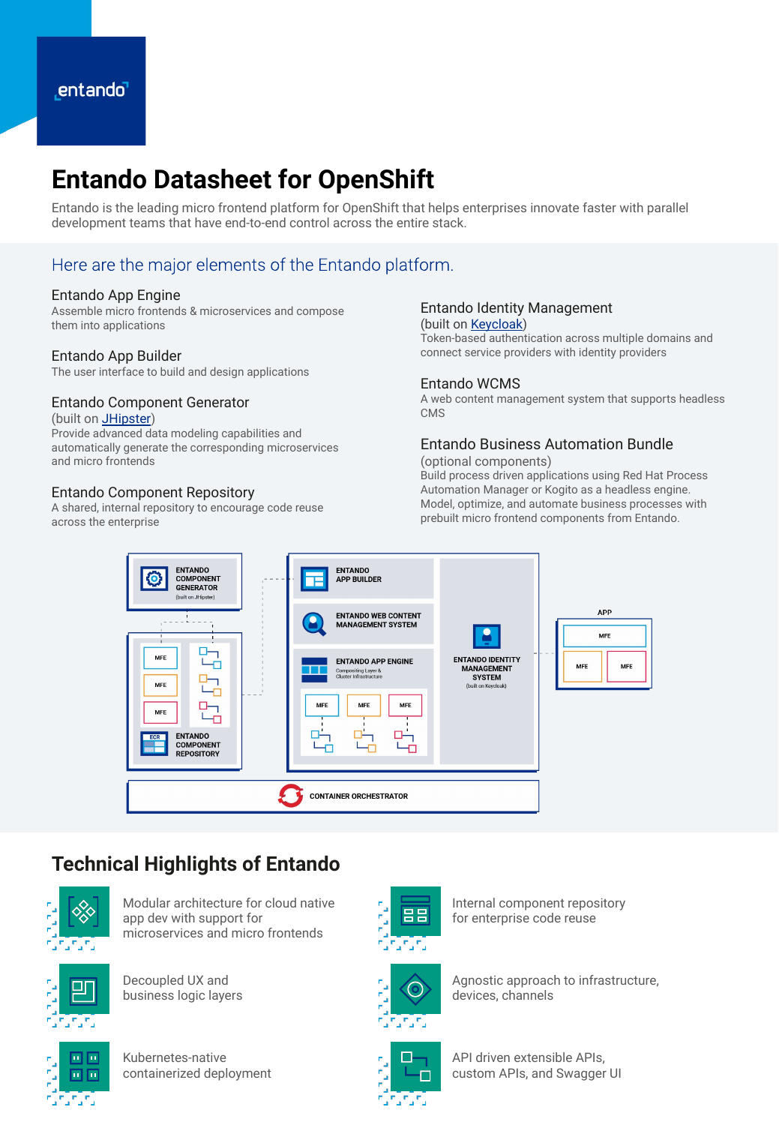# **Entando Datasheet for OpenShift**

Entando is the leading micro frontend platform for OpenShift that helps enterprises innovate faster with parallel development teams that have end-to-end control across the entire stack.

### Here are the major elements of the Entando platform.

### Entando App Engine

Assemble micro frontends & microservices and compose them into applications

### Entando App Builder

The user interface to build and design applications

### Entando Component Generator (built on **JHipster**)

Provide advanced data modeling capabilities and automatically generate the corresponding microservices and micro frontends

### Entando Component Repository

A shared, internal repository to encourage code reuse across the enterprise

#### Entando Identity Management (built on [Keycloak\)](https://www.keycloak.org/)

Token-based authentication across multiple domains and connect service providers with identity providers

### Entando WCMS

A web content management system that supports headless **CMS** 

### Entando Business Automation Bundle

(optional components)

Build process driven applications using Red Hat Process Automation Manager or Kogito as a headless engine. Model, optimize, and automate business processes with prebuilt micro frontend components from Entando.



### **Technical Highlights of Entando**



Modular architecture for cloud native app dev with support for microservices and micro frontends



Decoupled UX and business logic layers



Kubernetes-native containerized deployment



Internal component repository for enterprise code reuse



Agnostic approach to infrastructure, devices, channels



API driven extensible APIs, custom APIs, and Swagger UI